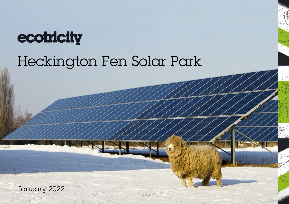

## Heckington Fen Solar Park

January 2022